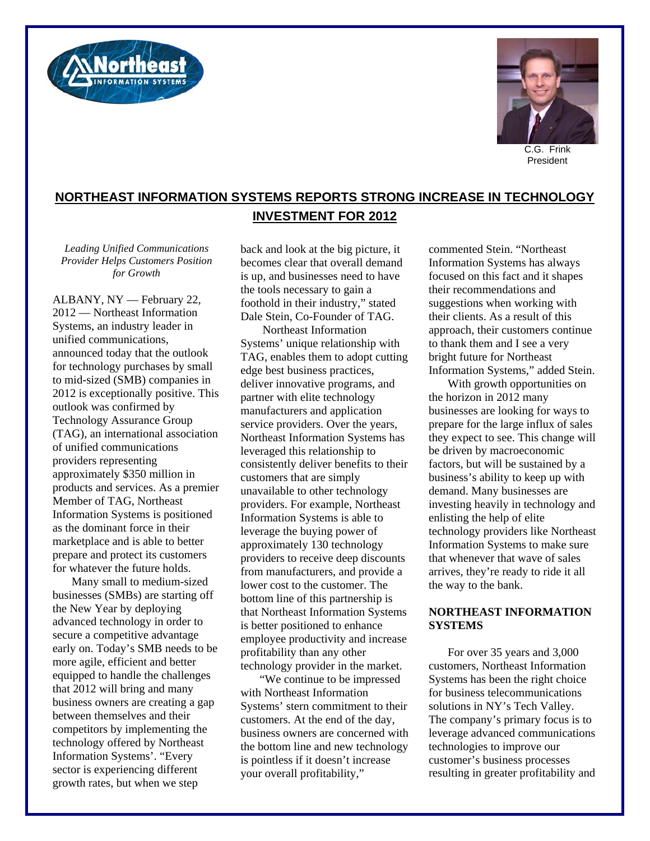



President

## **NORTHEAST INFORMATION SYSTEMS REPORTS STRONG INCREASE IN TECHNOLOGY INVESTMENT FOR 2012**

*Leading Unified Communications Provider Helps Customers Position for Growth* 

ALBANY, NY — February 22, 2012 — Northeast Information Systems, an industry leader in unified communications, announced today that the outlook for technology purchases by small to mid-sized (SMB) companies in 2012 is exceptionally positive. This outlook was confirmed by Technology Assurance Group (TAG), an international association of unified communications providers representing approximately \$350 million in products and services. As a premier Member of TAG, Northeast Information Systems is positioned as the dominant force in their marketplace and is able to better prepare and protect its customers for whatever the future holds.

Many small to medium-sized businesses (SMBs) are starting off the New Year by deploying advanced technology in order to secure a competitive advantage early on. Today's SMB needs to be more agile, efficient and better equipped to handle the challenges that 2012 will bring and many business owners are creating a gap between themselves and their competitors by implementing the technology offered by Northeast Information Systems'. "Every sector is experiencing different growth rates, but when we step

back and look at the big picture, it becomes clear that overall demand is up, and businesses need to have the tools necessary to gain a foothold in their industry," stated Dale Stein, Co-Founder of TAG.

 Northeast Information Systems' unique relationship with TAG, enables them to adopt cutting edge best business practices, deliver innovative programs, and partner with elite technology manufacturers and application service providers. Over the years, Northeast Information Systems has leveraged this relationship to consistently deliver benefits to their customers that are simply unavailable to other technology providers. For example, Northeast Information Systems is able to leverage the buying power of approximately 130 technology providers to receive deep discounts from manufacturers, and provide a lower cost to the customer. The bottom line of this partnership is that Northeast Information Systems is better positioned to enhance employee productivity and increase profitability than any other technology provider in the market.

"We continue to be impressed with Northeast Information Systems' stern commitment to their customers. At the end of the day, business owners are concerned with the bottom line and new technology is pointless if it doesn't increase your overall profitability,"

commented Stein. "Northeast Information Systems has always focused on this fact and it shapes their recommendations and suggestions when working with their clients. As a result of this approach, their customers continue to thank them and I see a very bright future for Northeast Information Systems," added Stein.

With growth opportunities on the horizon in 2012 many businesses are looking for ways to prepare for the large influx of sales they expect to see. This change will be driven by macroeconomic factors, but will be sustained by a business's ability to keep up with demand. Many businesses are investing heavily in technology and enlisting the help of elite technology providers like Northeast Information Systems to make sure that whenever that wave of sales arrives, they're ready to ride it all the way to the bank.

## **NORTHEAST INFORMATION SYSTEMS**

For over 35 years and 3,000 customers, Northeast Information Systems has been the right choice for business telecommunications solutions in NY's Tech Valley. The company's primary focus is to leverage advanced communications technologies to improve our customer's business processes resulting in greater profitability and